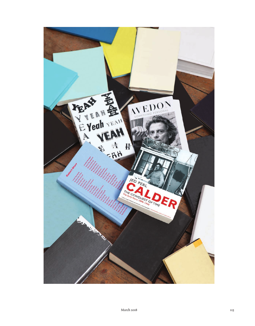